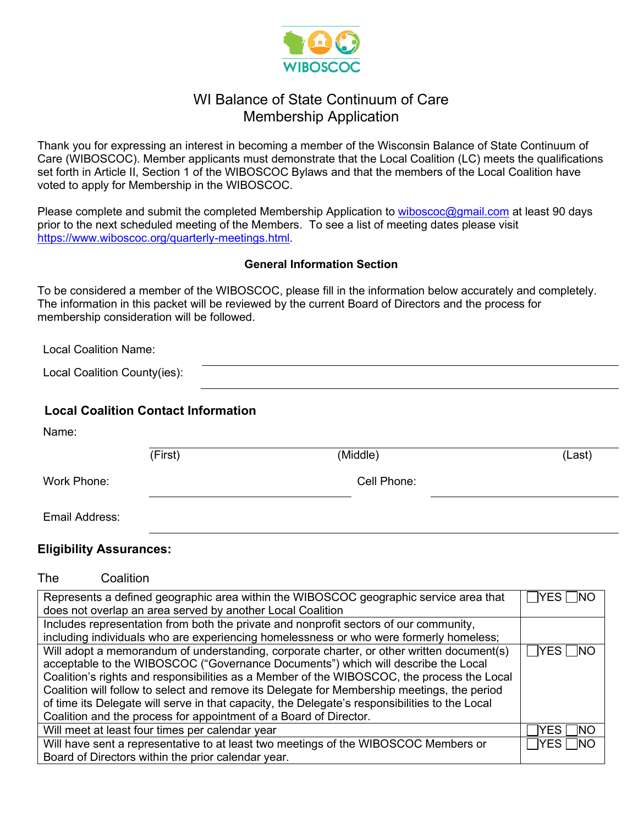

### WI Balance of State Continuum of Care Membership Application

Thank you for expressing an interest in becoming a member of the Wisconsin Balance of State Continuum of Care (WIBOSCOC). Member applicants must demonstrate that the Local Coalition (LC) meets the qualifications set forth in Article II, Section 1 of the WIBOSCOC Bylaws and that the members of the Local Coalition have voted to apply for Membership in the WIBOSCOC.

Please complete and submit the completed Membership Application to wiboscoc@gmail.com at least 90 days prior to the next scheduled meeting of the Members. To see a list of meeting dates please visit https://www.wiboscoc.org/quarterly-meetings.html.

#### **General Information Section**

To be considered a member of the WIBOSCOC, please fill in the information below accurately and completely. The information in this packet will be reviewed by the current Board of Directors and the process for membership consideration will be followed.

Local Coalition Name:

Local Coalition County(ies):

### **Local Coalition Contact Information**

| Name:          |         |             |        |
|----------------|---------|-------------|--------|
|                | (First) | (Middle)    | (Last) |
| Work Phone:    |         | Cell Phone: |        |
| Email Address: |         |             |        |

#### **Eligibility Assurances:**

| Represents a defined geographic area within the WIBOSCOC geographic service area that          |                          |  |
|------------------------------------------------------------------------------------------------|--------------------------|--|
| does not overlap an area served by another Local Coalition                                     |                          |  |
| Includes representation from both the private and nonprofit sectors of our community,          |                          |  |
| including individuals who are experiencing homelessness or who were formerly homeless;         |                          |  |
| Will adopt a memorandum of understanding, corporate charter, or other written document(s)      | $\sqcap$ YES $\sqcap$ NO |  |
| acceptable to the WIBOSCOC ("Governance Documents") which will describe the Local              |                          |  |
| Coalition's rights and responsibilities as a Member of the WIBOSCOC, the process the Local     |                          |  |
| Coalition will follow to select and remove its Delegate for Membership meetings, the period    |                          |  |
| of time its Delegate will serve in that capacity, the Delegate's responsibilities to the Local |                          |  |
| Coalition and the process for appointment of a Board of Director.                              |                          |  |
| Will meet at least four times per calendar year                                                | YES  <br>- INO           |  |
| Will have sent a representative to at least two meetings of the WIBOSCOC Members or            | ∃YES ⊟NO                 |  |
| Board of Directors within the prior calendar year.                                             |                          |  |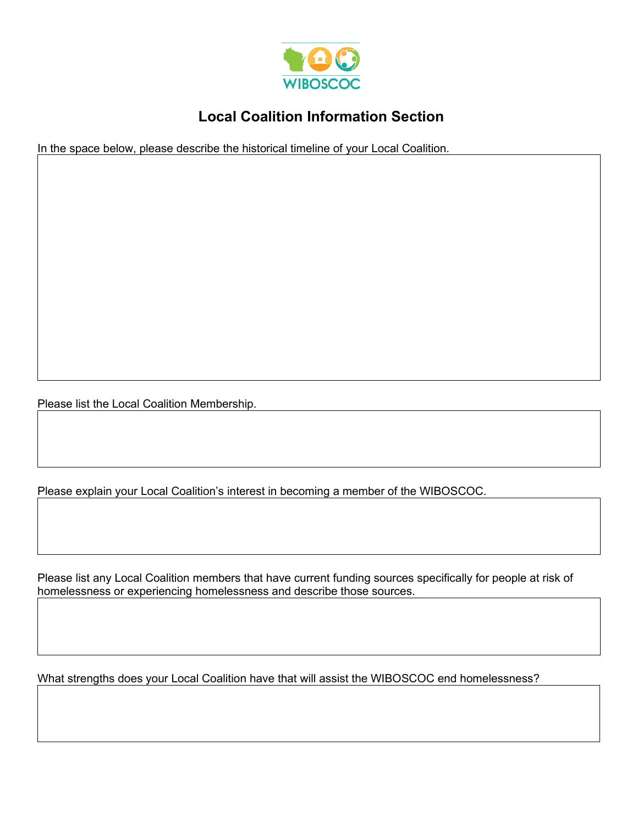

# **Local Coalition Information Section**

In the space below, please describe the historical timeline of your Local Coalition.

Please list the Local Coalition Membership.

Please explain your Local Coalition's interest in becoming a member of the WIBOSCOC.

Please list any Local Coalition members that have current funding sources specifically for people at risk of homelessness or experiencing homelessness and describe those sources.

What strengths does your Local Coalition have that will assist the WIBOSCOC end homelessness?